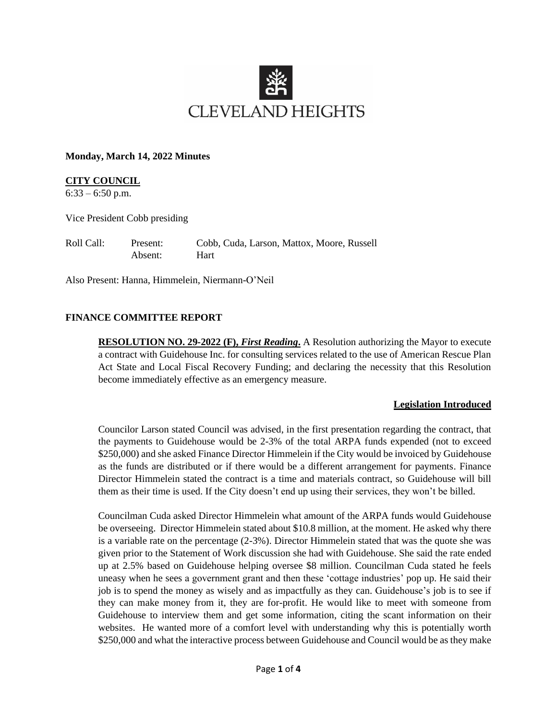

#### **Monday, March 14, 2022 Minutes**

## **CITY COUNCIL**

 $6:33 - 6:50$  p.m.

Vice President Cobb presiding

Roll Call: Present: Cobb, Cuda, Larson, Mattox, Moore, Russell Absent: Hart

Also Present: Hanna, Himmelein, Niermann-O'Neil

### **FINANCE COMMITTEE REPORT**

**RESOLUTION NO. 29-2022 (F),** *First Reading***.** A Resolution authorizing the Mayor to execute a contract with Guidehouse Inc. for consulting services related to the use of American Rescue Plan Act State and Local Fiscal Recovery Funding; and declaring the necessity that this Resolution become immediately effective as an emergency measure.

### **Legislation Introduced**

Councilor Larson stated Council was advised, in the first presentation regarding the contract, that the payments to Guidehouse would be 2-3% of the total ARPA funds expended (not to exceed \$250,000) and she asked Finance Director Himmelein if the City would be invoiced by Guidehouse as the funds are distributed or if there would be a different arrangement for payments. Finance Director Himmelein stated the contract is a time and materials contract, so Guidehouse will bill them as their time is used. If the City doesn't end up using their services, they won't be billed.

Councilman Cuda asked Director Himmelein what amount of the ARPA funds would Guidehouse be overseeing. Director Himmelein stated about \$10.8 million, at the moment. He asked why there is a variable rate on the percentage (2-3%). Director Himmelein stated that was the quote she was given prior to the Statement of Work discussion she had with Guidehouse. She said the rate ended up at 2.5% based on Guidehouse helping oversee \$8 million. Councilman Cuda stated he feels uneasy when he sees a government grant and then these 'cottage industries' pop up. He said their job is to spend the money as wisely and as impactfully as they can. Guidehouse's job is to see if they can make money from it, they are for-profit. He would like to meet with someone from Guidehouse to interview them and get some information, citing the scant information on their websites. He wanted more of a comfort level with understanding why this is potentially worth \$250,000 and what the interactive process between Guidehouse and Council would be as they make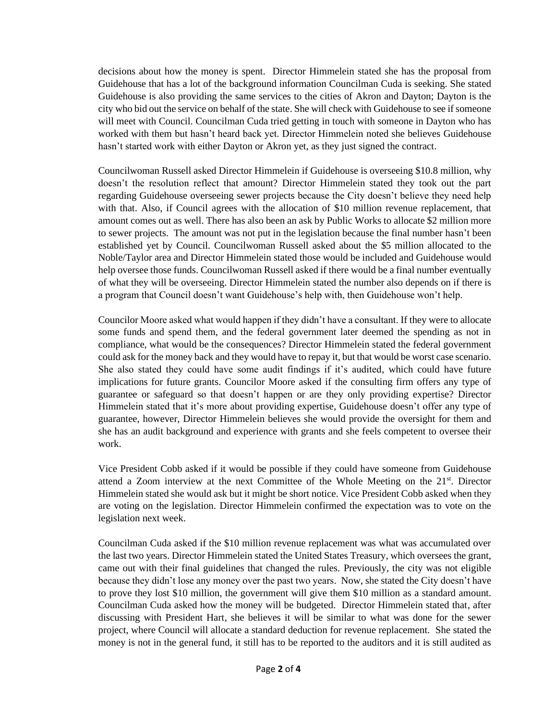decisions about how the money is spent. Director Himmelein stated she has the proposal from Guidehouse that has a lot of the background information Councilman Cuda is seeking. She stated Guidehouse is also providing the same services to the cities of Akron and Dayton; Dayton is the city who bid out the service on behalf of the state. She will check with Guidehouse to see if someone will meet with Council. Councilman Cuda tried getting in touch with someone in Dayton who has worked with them but hasn't heard back yet. Director Himmelein noted she believes Guidehouse hasn't started work with either Dayton or Akron yet, as they just signed the contract.

Councilwoman Russell asked Director Himmelein if Guidehouse is overseeing \$10.8 million, why doesn't the resolution reflect that amount? Director Himmelein stated they took out the part regarding Guidehouse overseeing sewer projects because the City doesn't believe they need help with that. Also, if Council agrees with the allocation of \$10 million revenue replacement, that amount comes out as well. There has also been an ask by Public Works to allocate \$2 million more to sewer projects. The amount was not put in the legislation because the final number hasn't been established yet by Council. Councilwoman Russell asked about the \$5 million allocated to the Noble/Taylor area and Director Himmelein stated those would be included and Guidehouse would help oversee those funds. Councilwoman Russell asked if there would be a final number eventually of what they will be overseeing. Director Himmelein stated the number also depends on if there is a program that Council doesn't want Guidehouse's help with, then Guidehouse won't help.

Councilor Moore asked what would happen if they didn't have a consultant. If they were to allocate some funds and spend them, and the federal government later deemed the spending as not in compliance, what would be the consequences? Director Himmelein stated the federal government could ask for the money back and they would have to repay it, but that would be worst case scenario. She also stated they could have some audit findings if it's audited, which could have future implications for future grants. Councilor Moore asked if the consulting firm offers any type of guarantee or safeguard so that doesn't happen or are they only providing expertise? Director Himmelein stated that it's more about providing expertise, Guidehouse doesn't offer any type of guarantee, however, Director Himmelein believes she would provide the oversight for them and she has an audit background and experience with grants and she feels competent to oversee their work.

Vice President Cobb asked if it would be possible if they could have someone from Guidehouse attend a Zoom interview at the next Committee of the Whole Meeting on the  $21<sup>st</sup>$ . Director Himmelein stated she would ask but it might be short notice. Vice President Cobb asked when they are voting on the legislation. Director Himmelein confirmed the expectation was to vote on the legislation next week.

Councilman Cuda asked if the \$10 million revenue replacement was what was accumulated over the last two years. Director Himmelein stated the United States Treasury, which oversees the grant, came out with their final guidelines that changed the rules. Previously, the city was not eligible because they didn't lose any money over the past two years. Now, she stated the City doesn't have to prove they lost \$10 million, the government will give them \$10 million as a standard amount. Councilman Cuda asked how the money will be budgeted. Director Himmelein stated that, after discussing with President Hart, she believes it will be similar to what was done for the sewer project, where Council will allocate a standard deduction for revenue replacement. She stated the money is not in the general fund, it still has to be reported to the auditors and it is still audited as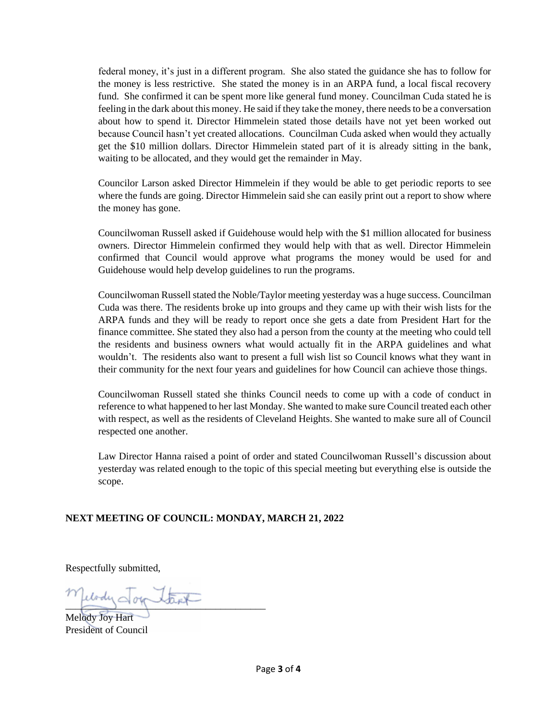federal money, it's just in a different program. She also stated the guidance she has to follow for the money is less restrictive. She stated the money is in an ARPA fund, a local fiscal recovery fund. She confirmed it can be spent more like general fund money. Councilman Cuda stated he is feeling in the dark about this money. He said if they take the money, there needs to be a conversation about how to spend it. Director Himmelein stated those details have not yet been worked out because Council hasn't yet created allocations. Councilman Cuda asked when would they actually get the \$10 million dollars. Director Himmelein stated part of it is already sitting in the bank, waiting to be allocated, and they would get the remainder in May.

Councilor Larson asked Director Himmelein if they would be able to get periodic reports to see where the funds are going. Director Himmelein said she can easily print out a report to show where the money has gone.

Councilwoman Russell asked if Guidehouse would help with the \$1 million allocated for business owners. Director Himmelein confirmed they would help with that as well. Director Himmelein confirmed that Council would approve what programs the money would be used for and Guidehouse would help develop guidelines to run the programs.

Councilwoman Russell stated the Noble/Taylor meeting yesterday was a huge success. Councilman Cuda was there. The residents broke up into groups and they came up with their wish lists for the ARPA funds and they will be ready to report once she gets a date from President Hart for the finance committee. She stated they also had a person from the county at the meeting who could tell the residents and business owners what would actually fit in the ARPA guidelines and what wouldn't. The residents also want to present a full wish list so Council knows what they want in their community for the next four years and guidelines for how Council can achieve those things.

Councilwoman Russell stated she thinks Council needs to come up with a code of conduct in reference to what happened to her last Monday. She wanted to make sure Council treated each other with respect, as well as the residents of Cleveland Heights. She wanted to make sure all of Council respected one another.

Law Director Hanna raised a point of order and stated Councilwoman Russell's discussion about yesterday was related enough to the topic of this special meeting but everything else is outside the scope.

# **NEXT MEETING OF COUNCIL: MONDAY, MARCH 21, 2022**

Respectfully submitted,

elody Jour Stapt

Melody Joy Hart President of Council